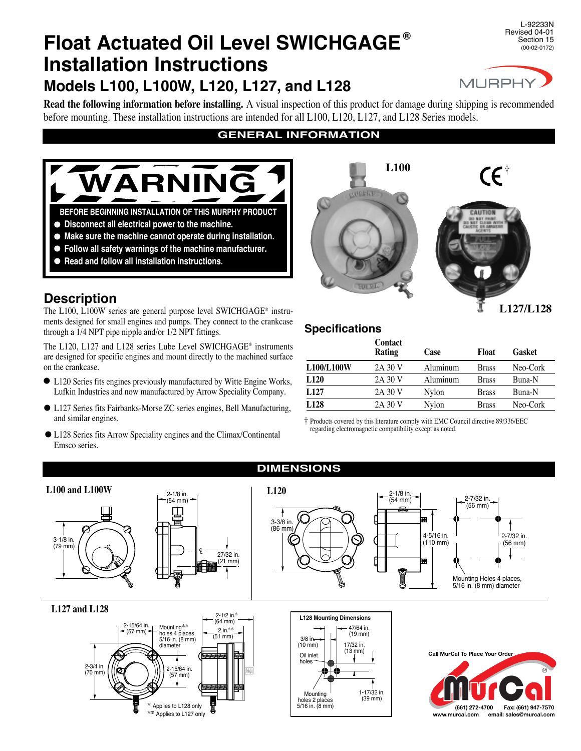# **Float Actuated Oil Level SWICHGAGE ® Installation Instructions Models L100, L100W, L120, L127, and L128**

L-92233N Revised 04-01 Section 15 (00-02-0172)



**Read the following information before installing.** A visual inspection of this product for damage during shipping is recommended before mounting. These installation instructions are intended for all L100, L120, L127, and L128 Series models.

# **GENERAL INFORMATION**



- **Disconnect all electrical power to the machine.** l
- **Make sure the machine cannot operate during installation.** l
- **Follow all safety warnings of the machine manufacturer.** l
- **Read and follow all installation instructions.**  $\bullet$

# **Description**

The L100, L100W series are general purpose level SWICHGAGE® instruments designed for small engines and pumps. They connect to the crankcase through a 1/4 NPT pipe nipple and/or 1/2 NPT fittings.

The L120, L127 and L128 series Lube Level SWICHGAGE® instruments are designed for specific engines and mount directly to the machined surface on the crankcase.

- L120 Series fits engines previously manufactured by Witte Engine Works, Lufkin Industries and now manufactured by Arrow Speciality Company.  $\bullet$
- L127 Series fits Fairbanks-Morse ZC series engines, Bell Manufacturing, land similar engines.
- L128 Series fits Arrow Speciality engines and the Climax/Continental l Emsco series.



**L127/L128**

# **Specifications**

|                  | Contact<br>Rating | Case            | Float        | Gasket   |
|------------------|-------------------|-----------------|--------------|----------|
| L100/L100W       | 2A 30 V           | Aluminum        | <b>Brass</b> | Neo-Cork |
| L <sub>120</sub> | 2A 30 V           | <b>Aluminum</b> | <b>Brass</b> | Buna-N   |
| L <sub>127</sub> | 2A 30 V           | <b>Nylon</b>    | <b>Brass</b> | Buna-N   |
| L128             | 2A 30 V           | Nylon           | <b>Brass</b> | Neo-Cork |

† Products covered by this literature comply with EMC Council directive 89/336/EEC regarding electromagnetic compatibility except as noted.